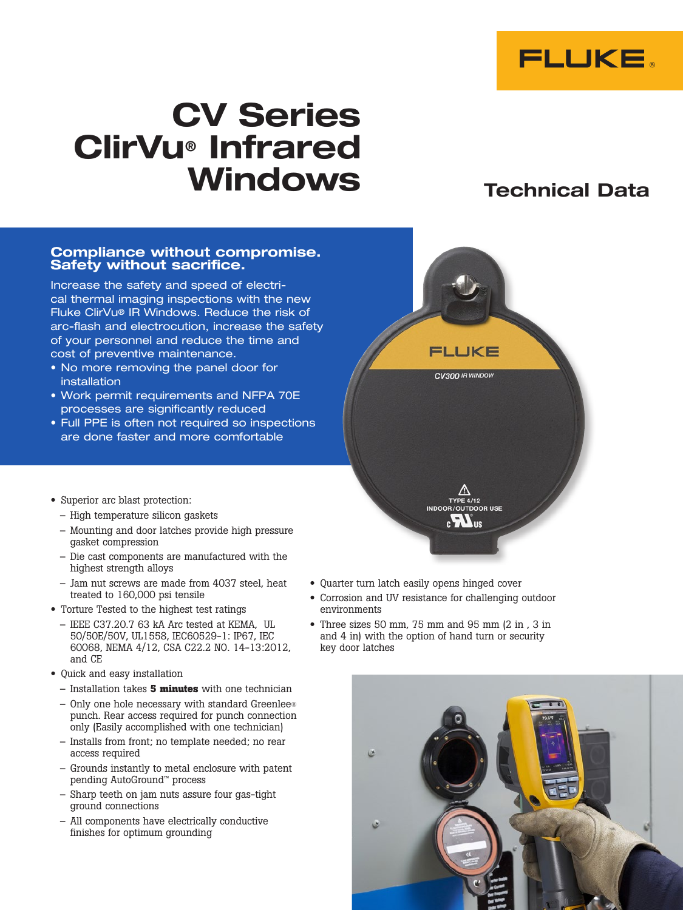

# CV Series ClirVu® Infrared Windows Technical Data

#### Compliance without compromise. Safety without sacrifice.

Increase the safety and speed of electrical thermal imaging inspections with the new Fluke ClirVu® IR Windows. Reduce the risk of arc-flash and electrocution, increase the safety of your personnel and reduce the time and cost of preventive maintenance.

- No more removing the panel door for installation
- • Work permit requirements and NFPA 70E processes are significantly reduced
- Full PPE is often not required so inspections are done faster and more comfortable
- Superior arc blast protection:
	- High temperature silicon gaskets
	- Mounting and door latches provide high pressure gasket compression
	- Die cast components are manufactured with the highest strength alloys
	- Jam nut screws are made from 4037 steel, heat treated to 160,000 psi tensile
- Torture Tested to the highest test ratings
	- IEEE C37.20.7 63 kA Arc tested at KEMA, UL 50/50E/50V, UL1558, IEC60529-1: IP67, IEC 60068, NEMA 4/12, CSA C22.2 NO. 14-13:2012, and CE
- Quick and easy installation
	- Installation takes **5 minutes** with one technician
	- Only one hole necessary with standard Greenlee® punch. Rear access required for punch connection only (Easily accomplished with one technician)
	- Installs from front; no template needed; no rear access required
	- Grounds instantly to metal enclosure with patent pending AutoGround™ process
	- Sharp teeth on jam nuts assure four gas-tight ground connections
	- All components have electrically conductive finishes for optimum grounding
- Quarter turn latch easily opens hinged cover
- Corrosion and UV resistance for challenging outdoor environments

FLUKE

CV300 IR WINDOW

**TYPE 4/12** INDOOR/OUTDOOR USE  $c$   $\mathbf{H}$  us

• Three sizes 50 mm, 75 mm and 95 mm (2 in , 3 in and 4 in) with the option of hand turn or security key door latches

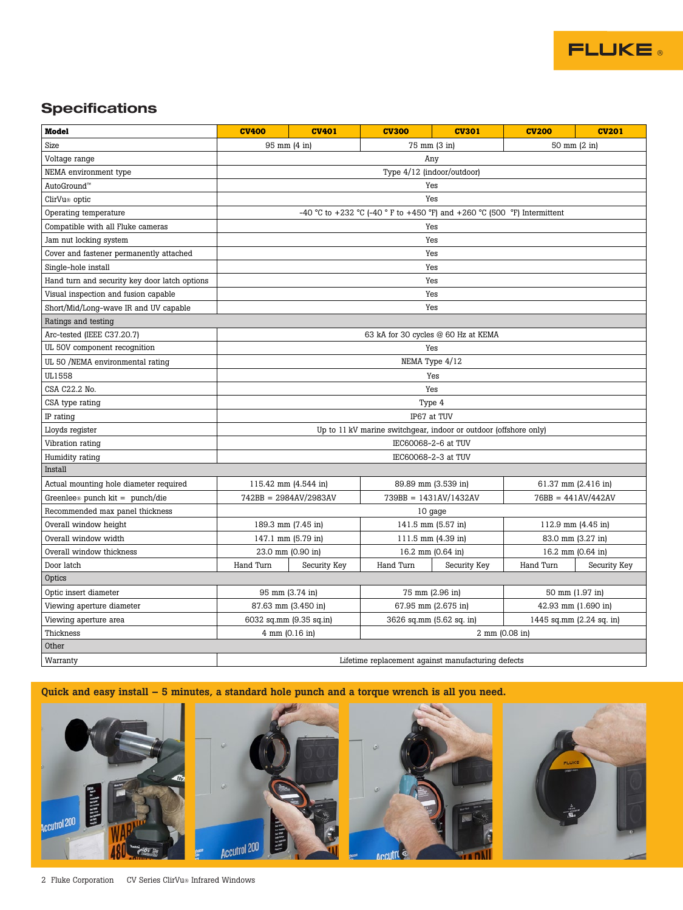

## **Specifications**

| <b>Model</b>                                  | <b>CV400</b>                                                             | <b>CV401</b> | <b>CV300</b>             | <b>CV301</b> | <b>CV200</b>             | <b>CV201</b> |
|-----------------------------------------------|--------------------------------------------------------------------------|--------------|--------------------------|--------------|--------------------------|--------------|
| Size                                          | 75 mm (3 in)<br>50 mm (2 in)<br>95 mm (4 in)                             |              |                          |              |                          |              |
| Voltage range                                 | Any                                                                      |              |                          |              |                          |              |
| NEMA environment type                         | Type 4/12 (indoor/outdoor)                                               |              |                          |              |                          |              |
| AutoGround <sup>™</sup>                       | Yes                                                                      |              |                          |              |                          |              |
| ClirVu <sup>®</sup> optic                     | Yes                                                                      |              |                          |              |                          |              |
| Operating temperature                         | -40 °C to +232 °C (-40 ° F to +450 °F) and +260 °C (500 °F) Intermittent |              |                          |              |                          |              |
| Compatible with all Fluke cameras             | Yes                                                                      |              |                          |              |                          |              |
| Jam nut locking system                        | Yes                                                                      |              |                          |              |                          |              |
| Cover and fastener permanently attached       | Yes                                                                      |              |                          |              |                          |              |
| Single-hole install                           | Yes                                                                      |              |                          |              |                          |              |
| Hand turn and security key door latch options | Yes                                                                      |              |                          |              |                          |              |
| Visual inspection and fusion capable          | Yes                                                                      |              |                          |              |                          |              |
| Short/Mid/Long-wave IR and UV capable         | Yes                                                                      |              |                          |              |                          |              |
| Ratings and testing                           |                                                                          |              |                          |              |                          |              |
| Arc-tested (IEEE C37.20.7)                    | 63 kA for 30 cycles @ 60 Hz at KEMA                                      |              |                          |              |                          |              |
| UL 50V component recognition                  | Yes                                                                      |              |                          |              |                          |              |
| UL 50 /NEMA environmental rating              | NEMA Type 4/12                                                           |              |                          |              |                          |              |
| UL1558                                        | Yes                                                                      |              |                          |              |                          |              |
| CSA C22.2 No.                                 | Yes                                                                      |              |                          |              |                          |              |
| CSA type rating                               | Type 4                                                                   |              |                          |              |                          |              |
| IP rating                                     | IP67 at TUV                                                              |              |                          |              |                          |              |
| Lloyds register                               | Up to 11 kV marine switchgear, indoor or outdoor (offshore only)         |              |                          |              |                          |              |
| Vibration rating                              | IEC60068-2-6 at TUV                                                      |              |                          |              |                          |              |
| Humidity rating                               | IEC60068-2-3 at TUV                                                      |              |                          |              |                          |              |
| Install                                       |                                                                          |              |                          |              |                          |              |
| Actual mounting hole diameter required        | 115.42 mm (4.544 in)                                                     |              | 89.89 mm (3.539 in)      |              | 61.37 mm (2.416 in)      |              |
| Greenlee <sup>®</sup> punch kit = punch/die   | 742BB = 2984AV/2983AV                                                    |              | $739BB = 1431AV/1432AV$  |              | $76BB = 441AV/442AV$     |              |
| Recommended max panel thickness               | 10 gage                                                                  |              |                          |              |                          |              |
| Overall window height                         | 189.3 mm (7.45 in)                                                       |              | 141.5 mm (5.57 in)       |              | 112.9 mm (4.45 in)       |              |
| Overall window width                          | 147.1 mm (5.79 in)                                                       |              | 111.5 mm (4.39 in)       |              | 83.0 mm (3.27 in)        |              |
| Overall window thickness                      | 23.0 mm (0.90 in)                                                        |              | 16.2 mm (0.64 in)        |              | 16.2 mm (0.64 in)        |              |
| Door latch                                    | Hand Turn                                                                | Security Key | Hand Turn                | Security Key | Hand Turn                | Security Key |
| Optics                                        |                                                                          |              |                          |              |                          |              |
| Optic insert diameter                         | 95 mm (3.74 in)                                                          |              | 75 mm (2.96 in)          |              | 50 mm (1.97 in)          |              |
| Viewing aperture diameter                     | 87.63 mm (3.450 in)                                                      |              | 67.95 mm (2.675 in)      |              | 42.93 mm (1.690 in)      |              |
| Viewing aperture area                         | 6032 sq.mm (9.35 sq.in)                                                  |              | 3626 sq.mm (5.62 sq. in) |              | 1445 sq.mm (2.24 sq. in) |              |
| Thickness                                     | 4 mm (0.16 in)<br>2 mm (0.08 in)                                         |              |                          |              |                          |              |
| Other                                         |                                                                          |              |                          |              |                          |              |
| Warranty                                      | Lifetime replacement against manufacturing defects                       |              |                          |              |                          |              |

### Quick and easy install – 5 minutes, a standard hole punch and a torque wrench is all you need.